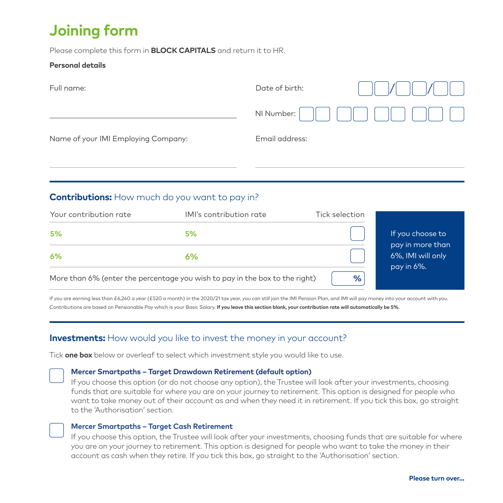# **Joining form**

Please complete this form in **BLOCK CAPITALS** and return it to HR.

### **Personal details**

| Date of birth: |  |
|----------------|--|
| NI Number:     |  |
| Email address: |  |
|                |  |

## **Contributions:** How much do you want to pay in?

| Your contribution rate | IMI's contribution rate                                                     | Tick selection |                                      |
|------------------------|-----------------------------------------------------------------------------|----------------|--------------------------------------|
| 5%                     | 5%                                                                          |                | If you choose to<br>pay in more than |
| 6%                     | 6%                                                                          | pay in 6%.     | 6%, IMI will only                    |
|                        | More than 6% (enter the percentage you wish to pay in the box to the right) | %              |                                      |

If you are earning less than £6,240 a year (£520 a month) in the 2020/21 tax year, you can still join the IMI Pension Plan, and IMI will pay money into your account with you. Contributions are based on Pensionable Pay which is your Basic Salary. **If you leave this section blank, your contribution rate will automatically be 5%**.

## **Investments:** How would you like to invest the money in your account?

Tick **one box** below or overleaf to select which investment style you would like to use.

#### **Mercer Smartpaths – Target Drawdown Retirement (default option)**

If you choose this option (or do not choose any option), the Trustee will look after your investments, choosing funds that are suitable for where you are on your journey to retirement. This option is designed for people who want to take money out of their account as and when they need it in retirement. If you tick this box, go straight to the 'Authorisation' section.

#### **Mercer Smartpaths – Target Cash Retirement**

If you choose this option, the Trustee will look after your investments, choosing funds that are suitable for where you are on your journey to retirement. This option is designed for people who want to take the money in their account as cash when they retire. If you tick this box, go straight to the 'Authorisation' section.